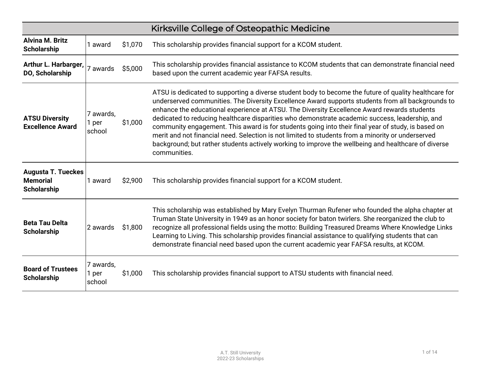|                                                                    |                              |         | Kirksville College of Osteopathic Medicine                                                                                                                                                                                                                                                                                                                                                                                                                                                                                                                                                                                                                                                                                                    |
|--------------------------------------------------------------------|------------------------------|---------|-----------------------------------------------------------------------------------------------------------------------------------------------------------------------------------------------------------------------------------------------------------------------------------------------------------------------------------------------------------------------------------------------------------------------------------------------------------------------------------------------------------------------------------------------------------------------------------------------------------------------------------------------------------------------------------------------------------------------------------------------|
| <b>Alvina M. Britz</b><br><b>Scholarship</b>                       | 1 award                      | \$1,070 | This scholarship provides financial support for a KCOM student.                                                                                                                                                                                                                                                                                                                                                                                                                                                                                                                                                                                                                                                                               |
| Arthur L. Harbarger,<br>DO, Scholarship                            | 7 awards                     | \$5,000 | This scholarship provides financial assistance to KCOM students that can demonstrate financial need<br>based upon the current academic year FAFSA results.                                                                                                                                                                                                                                                                                                                                                                                                                                                                                                                                                                                    |
| <b>ATSU Diversity</b><br><b>Excellence Award</b>                   | 7 awards,<br>1 per<br>school | \$1,000 | ATSU is dedicated to supporting a diverse student body to become the future of quality healthcare for<br>underserved communities. The Diversity Excellence Award supports students from all backgrounds to<br>enhance the educational experience at ATSU. The Diversity Excellence Award rewards students<br>dedicated to reducing healthcare disparities who demonstrate academic success, leadership, and<br>community engagement. This award is for students going into their final year of study, is based on<br>merit and not financial need. Selection is not limited to students from a minority or underserved<br>background; but rather students actively working to improve the wellbeing and healthcare of diverse<br>communities. |
| <b>Augusta T. Tueckes</b><br><b>Memorial</b><br><b>Scholarship</b> | 1 award                      | \$2,900 | This scholarship provides financial support for a KCOM student.                                                                                                                                                                                                                                                                                                                                                                                                                                                                                                                                                                                                                                                                               |
| <b>Beta Tau Delta</b><br><b>Scholarship</b>                        | 2 awards                     | \$1,800 | This scholarship was established by Mary Evelyn Thurman Rufener who founded the alpha chapter at<br>Truman State University in 1949 as an honor society for baton twirlers. She reorganized the club to<br>recognize all professional fields using the motto: Building Treasured Dreams Where Knowledge Links<br>Learning to Living. This scholarship provides financial assistance to qualifying students that can<br>demonstrate financial need based upon the current academic year FAFSA results, at KCOM.                                                                                                                                                                                                                                |
| <b>Board of Trustees</b><br><b>Scholarship</b>                     | 7 awards,<br>1 per<br>school | \$1,000 | This scholarship provides financial support to ATSU students with financial need.                                                                                                                                                                                                                                                                                                                                                                                                                                                                                                                                                                                                                                                             |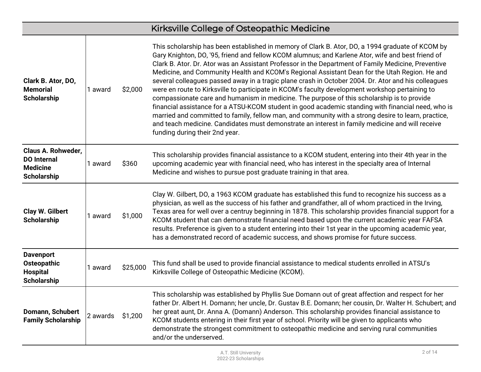|                                                                                          |          |          | Kirksville College of Osteopathic Medicine                                                                                                                                                                                                                                                                                                                                                                                                                                                                                                                                                                                                                                                                                                                                                                                                                                                                                                                                                                                                                              |
|------------------------------------------------------------------------------------------|----------|----------|-------------------------------------------------------------------------------------------------------------------------------------------------------------------------------------------------------------------------------------------------------------------------------------------------------------------------------------------------------------------------------------------------------------------------------------------------------------------------------------------------------------------------------------------------------------------------------------------------------------------------------------------------------------------------------------------------------------------------------------------------------------------------------------------------------------------------------------------------------------------------------------------------------------------------------------------------------------------------------------------------------------------------------------------------------------------------|
| Clark B. Ator, DO,<br><b>Memorial</b><br><b>Scholarship</b>                              | 1 award  | \$2,000  | This scholarship has been established in memory of Clark B. Ator, DO, a 1994 graduate of KCOM by<br>Gary Knighton, DO, '95, friend and fellow KCOM alumnus; and Karlene Ator, wife and best friend of<br>Clark B. Ator. Dr. Ator was an Assistant Professor in the Department of Family Medicine, Preventive<br>Medicine, and Community Health and KCOM's Regional Assistant Dean for the Utah Region. He and<br>several colleagues passed away in a tragic plane crash in October 2004. Dr. Ator and his colleagues<br>were en route to Kirksville to participate in KCOM's faculty development workshop pertaining to<br>compassionate care and humanism in medicine. The purpose of this scholarship is to provide<br>financial assistance for a ATSU-KCOM student in good academic standing with financial need, who is<br>married and committed to family, fellow man, and community with a strong desire to learn, practice,<br>and teach medicine. Candidates must demonstrate an interest in family medicine and will receive<br>funding during their 2nd year. |
| <b>Claus A. Rohweder,</b><br><b>DO</b> Internal<br><b>Medicine</b><br><b>Scholarship</b> | 1 award  | \$360    | This scholarship provides financial assistance to a KCOM student, entering into their 4th year in the<br>upcoming academic year with financial need, who has interest in the specialty area of Internal<br>Medicine and wishes to pursue post graduate training in that area.                                                                                                                                                                                                                                                                                                                                                                                                                                                                                                                                                                                                                                                                                                                                                                                           |
| Clay W. Gilbert<br><b>Scholarship</b>                                                    | 1 award  | \$1,000  | Clay W. Gilbert, DO, a 1963 KCOM graduate has established this fund to recognize his success as a<br>physician, as well as the success of his father and grandfather, all of whom practiced in the Irving,<br>Texas area for well over a centruy beginning in 1878. This scholarship provides financial support for a<br>KCOM student that can demonstrate financial need based upon the current academic year FAFSA<br>results. Preference is given to a student entering into their 1st year in the upcoming academic year,<br>has a demonstrated record of academic success, and shows promise for future success.                                                                                                                                                                                                                                                                                                                                                                                                                                                   |
| <b>Davenport</b><br><b>Osteopathic</b><br><b>Hospital</b><br><b>Scholarship</b>          | 1 award  | \$25,000 | This fund shall be used to provide financial assistance to medical students enrolled in ATSU's<br>Kirksville College of Osteopathic Medicine (KCOM).                                                                                                                                                                                                                                                                                                                                                                                                                                                                                                                                                                                                                                                                                                                                                                                                                                                                                                                    |
| Domann, Schubert<br><b>Family Scholarship</b>                                            | 2 awards | \$1,200  | This scholarship was established by Phyllis Sue Domann out of great affection and respect for her<br>father Dr. Albert H. Domann; her uncle, Dr. Gustav B.E. Domann; her cousin, Dr. Walter H. Schubert; and<br>her great aunt, Dr. Anna A. (Domann) Anderson. This scholarship provides financial assistance to<br>KCOM students entering in their first year of school. Priority will be given to applicants who<br>demonstrate the strongest commitment to osteopathic medicine and serving rural communities<br>and/or the underserved.                                                                                                                                                                                                                                                                                                                                                                                                                                                                                                                             |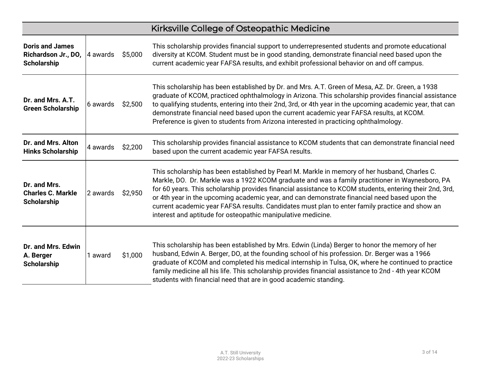|                                                                     | Kirksville College of Osteopathic Medicine |         |                                                                                                                                                                                                                                                                                                                                                                                                                                                                                                                                                                               |  |  |
|---------------------------------------------------------------------|--------------------------------------------|---------|-------------------------------------------------------------------------------------------------------------------------------------------------------------------------------------------------------------------------------------------------------------------------------------------------------------------------------------------------------------------------------------------------------------------------------------------------------------------------------------------------------------------------------------------------------------------------------|--|--|
| <b>Doris and James</b><br>Richardson Jr., DO,<br><b>Scholarship</b> | 4 awards                                   | \$5,000 | This scholarship provides financial support to underrepresented students and promote educational<br>diversity at KCOM. Student must be in good standing, demonstrate financial need based upon the<br>current academic year FAFSA results, and exhibit professional behavior on and off campus.                                                                                                                                                                                                                                                                               |  |  |
| Dr. and Mrs. A.T.<br><b>Green Scholarship</b>                       | 6 awards                                   | \$2,500 | This scholarship has been established by Dr. and Mrs. A.T. Green of Mesa, AZ. Dr. Green, a 1938<br>graduate of KCOM, practiced ophthalmology in Arizona. This scholarship provides financial assistance<br>to qualifying students, entering into their 2nd, 3rd, or 4th year in the upcoming academic year, that can<br>demonstrate financial need based upon the current academic year FAFSA results, at KCOM.<br>Preference is given to students from Arizona interested in practicing ophthalmology.                                                                       |  |  |
| Dr. and Mrs. Alton<br><b>Hinks Scholarship</b>                      | 4 awards                                   | \$2,200 | This scholarship provides financial assistance to KCOM students that can demonstrate financial need<br>based upon the current academic year FAFSA results.                                                                                                                                                                                                                                                                                                                                                                                                                    |  |  |
| Dr. and Mrs.<br><b>Charles C. Markle</b><br><b>Scholarship</b>      | 2 awards                                   | \$2,950 | This scholarship has been established by Pearl M. Markle in memory of her husband, Charles C.<br>Markle, DO. Dr. Markle was a 1922 KCOM graduate and was a family practitioner in Waynesboro, PA<br>for 60 years. This scholarship provides financial assistance to KCOM students, entering their 2nd, 3rd,<br>or 4th year in the upcoming academic year, and can demonstrate financial need based upon the<br>current academic year FAFSA results. Candidates must plan to enter family practice and show an<br>interest and aptitude for osteopathic manipulative medicine. |  |  |
| Dr. and Mrs. Edwin<br>A. Berger<br><b>Scholarship</b>               | 1 award                                    | \$1,000 | This scholarship has been established by Mrs. Edwin (Linda) Berger to honor the memory of her<br>husband, Edwin A. Berger, DO, at the founding school of his profession. Dr. Berger was a 1966<br>graduate of KCOM and completed his medical internship in Tulsa, OK, where he continued to practice<br>family medicine all his life. This scholarship provides financial assistance to 2nd - 4th year KCOM<br>students with financial need that are in good academic standing.                                                                                               |  |  |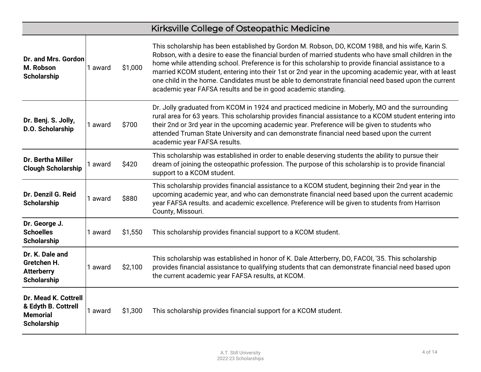|                                                                                      |         |         | Kirksville College of Osteopathic Medicine                                                                                                                                                                                                                                                                                                                                                                                                                                                                                                                                                          |
|--------------------------------------------------------------------------------------|---------|---------|-----------------------------------------------------------------------------------------------------------------------------------------------------------------------------------------------------------------------------------------------------------------------------------------------------------------------------------------------------------------------------------------------------------------------------------------------------------------------------------------------------------------------------------------------------------------------------------------------------|
| Dr. and Mrs. Gordon<br>M. Robson<br><b>Scholarship</b>                               | 1 award | \$1,000 | This scholarship has been established by Gordon M. Robson, DO, KCOM 1988, and his wife, Karin S.<br>Robson, with a desire to ease the financial burden of married students who have small children in the<br>home while attending school. Preference is for this scholarship to provide financial assistance to a<br>married KCOM student, entering into their 1st or 2nd year in the upcoming academic year, with at least<br>one child in the home. Candidates must be able to demonstrate financial need based upon the current<br>academic year FAFSA results and be in good academic standing. |
| Dr. Benj. S. Jolly,<br>D.O. Scholarship                                              | 1 award | \$700   | Dr. Jolly graduated from KCOM in 1924 and practiced medicine in Moberly, MO and the surrounding<br>rural area for 63 years. This scholarship provides financial assistance to a KCOM student entering into<br>their 2nd or 3rd year in the upcoming academic year. Preference will be given to students who<br>attended Truman State University and can demonstrate financial need based upon the current<br>academic year FAFSA results.                                                                                                                                                           |
| <b>Dr. Bertha Miller</b><br><b>Clough Scholarship</b>                                | 1 award | \$420   | This scholarship was established in order to enable deserving students the ability to pursue their<br>dream of joining the osteopathic profession. The purpose of this scholarship is to provide financial<br>support to a KCOM student.                                                                                                                                                                                                                                                                                                                                                            |
| Dr. Denzil G. Reid<br><b>Scholarship</b>                                             | 1 award | \$880   | This scholarship provides financial assistance to a KCOM student, beginning their 2nd year in the<br>upcoming academic year, and who can demonstrate financial need based upon the current academic<br>year FAFSA results. and academic excellence. Preference will be given to students from Harrison<br>County, Missouri.                                                                                                                                                                                                                                                                         |
| Dr. George J.<br><b>Schoelles</b><br><b>Scholarship</b>                              | 1 award | \$1,550 | This scholarship provides financial support to a KCOM student.                                                                                                                                                                                                                                                                                                                                                                                                                                                                                                                                      |
| Dr. K. Dale and<br>Gretchen H.<br><b>Atterberry</b><br><b>Scholarship</b>            | 1 award | \$2,100 | This scholarship was established in honor of K. Dale Atterberry, DO, FACOI, '35. This scholarship<br>provides financial assistance to qualifying students that can demonstrate financial need based upon<br>the current academic year FAFSA results, at KCOM.                                                                                                                                                                                                                                                                                                                                       |
| Dr. Mead K. Cottrell<br>& Edyth B. Cottrell<br><b>Memorial</b><br><b>Scholarship</b> | 1 award | \$1,300 | This scholarship provides financial support for a KCOM student.                                                                                                                                                                                                                                                                                                                                                                                                                                                                                                                                     |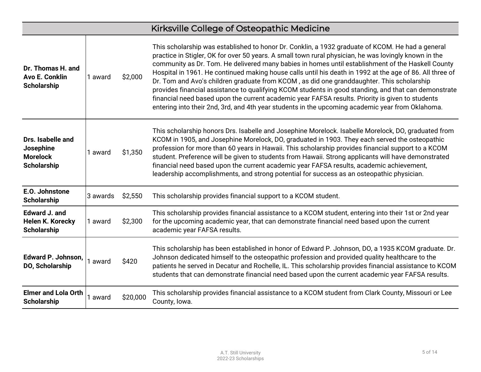|                                                                       |          |          | Kirksville College of Osteopathic Medicine                                                                                                                                                                                                                                                                                                                                                                                                                                                                                                                                                                                                                                                                                                                                                                                              |
|-----------------------------------------------------------------------|----------|----------|-----------------------------------------------------------------------------------------------------------------------------------------------------------------------------------------------------------------------------------------------------------------------------------------------------------------------------------------------------------------------------------------------------------------------------------------------------------------------------------------------------------------------------------------------------------------------------------------------------------------------------------------------------------------------------------------------------------------------------------------------------------------------------------------------------------------------------------------|
| Dr. Thomas H. and<br><b>Avo E. Conklin</b><br><b>Scholarship</b>      | 1 award  | \$2,000  | This scholarship was established to honor Dr. Conklin, a 1932 graduate of KCOM. He had a general<br>practice in Stigler, OK for over 50 years. A small town rural physician, he was lovingly known in the<br>community as Dr. Tom. He delivered many babies in homes until establishment of the Haskell County<br>Hospital in 1961. He continued making house calls until his death in 1992 at the age of 86. All three of<br>Dr. Tom and Avo's children graduate from KCOM, as did one granddaughter. This scholarship<br>provides financial assistance to qualifying KCOM students in good standing, and that can demonstrate<br>financial need based upon the current academic year FAFSA results. Priority is given to students<br>entering into their 2nd, 3rd, and 4th year students in the upcoming academic year from Oklahoma. |
| Drs. Isabelle and<br>Josephine<br><b>Morelock</b><br>Scholarship      | 1 award  | \$1,350  | This scholarship honors Drs. Isabelle and Josephine Morelock. Isabelle Morelock, DO, graduated from<br>KCOM in 1905, and Josephine Morelock, DO, graduated in 1903. They each served the osteopathic<br>profession for more than 60 years in Hawaii. This scholarship provides financial support to a KCOM<br>student. Preference will be given to students from Hawaii. Strong applicants will have demonstrated<br>financial need based upon the current academic year FAFSA results, academic achievement,<br>leadership accomplishments, and strong potential for success as an osteopathic physician.                                                                                                                                                                                                                              |
| E.O. Johnstone<br><b>Scholarship</b>                                  | 3 awards | \$2,550  | This scholarship provides financial support to a KCOM student.                                                                                                                                                                                                                                                                                                                                                                                                                                                                                                                                                                                                                                                                                                                                                                          |
| <b>Edward J. and</b><br><b>Helen K. Korecky</b><br><b>Scholarship</b> | 1 award  | \$2,300  | This scholarship provides financial assistance to a KCOM student, entering into their 1st or 2nd year<br>for the upcoming academic year, that can demonstrate financial need based upon the current<br>academic year FAFSA results.                                                                                                                                                                                                                                                                                                                                                                                                                                                                                                                                                                                                     |
| Edward P. Johnson,<br>DO, Scholarship                                 | 1 award  | \$420    | This scholarship has been established in honor of Edward P. Johnson, DO, a 1935 KCOM graduate. Dr.<br>Johnson dedicated himself to the osteopathic profession and provided quality healthcare to the<br>patients he served in Decatur and Rochelle, IL. This scholarship provides financial assistance to KCOM<br>students that can demonstrate financial need based upon the current academic year FAFSA results.                                                                                                                                                                                                                                                                                                                                                                                                                      |
| <b>Elmer and Lola Orth</b><br><b>Scholarship</b>                      | 1 award  | \$20,000 | This scholarship provides financial assistance to a KCOM student from Clark County, Missouri or Lee<br>County, Iowa.                                                                                                                                                                                                                                                                                                                                                                                                                                                                                                                                                                                                                                                                                                                    |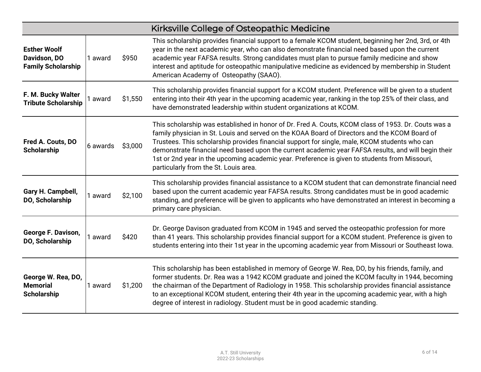|                                                                  | Kirksville College of Osteopathic Medicine |         |                                                                                                                                                                                                                                                                                                                                                                                                                                                                                                                                                        |  |  |  |
|------------------------------------------------------------------|--------------------------------------------|---------|--------------------------------------------------------------------------------------------------------------------------------------------------------------------------------------------------------------------------------------------------------------------------------------------------------------------------------------------------------------------------------------------------------------------------------------------------------------------------------------------------------------------------------------------------------|--|--|--|
| <b>Esther Woolf</b><br>Davidson, DO<br><b>Family Scholarship</b> | 1 award                                    | \$950   | This scholarship provides financial support to a female KCOM student, beginning her 2nd, 3rd, or 4th<br>year in the next academic year, who can also demonstrate financial need based upon the current<br>academic year FAFSA results. Strong candidates must plan to pursue family medicine and show<br>interest and aptitude for osteopathic manipulative medicine as evidenced by membership in Student<br>American Academy of Osteopathy (SAAO).                                                                                                   |  |  |  |
| F. M. Bucky Walter<br><b>Tribute Scholarship</b>                 | award                                      | \$1,550 | This scholarship provides financial support for a KCOM student. Preference will be given to a student<br>entering into their 4th year in the upcoming academic year, ranking in the top 25% of their class, and<br>have demonstrated leadership within student organizations at KCOM.                                                                                                                                                                                                                                                                  |  |  |  |
| Fred A. Couts, DO<br><b>Scholarship</b>                          | 6 awards                                   | \$3,000 | This scholarship was established in honor of Dr. Fred A. Couts, KCOM class of 1953. Dr. Couts was a<br>family physician in St. Louis and served on the KOAA Board of Directors and the KCOM Board of<br>Trustees. This scholarship provides financial support for single, male, KCOM students who can<br>demonstrate financial need based upon the current academic year FAFSA results, and will begin their<br>1st or 2nd year in the upcoming academic year. Preference is given to students from Missouri,<br>particularly from the St. Louis area. |  |  |  |
| Gary H. Campbell,<br>DO, Scholarship                             | 1 award                                    | \$2,100 | This scholarship provides financial assistance to a KCOM student that can demonstrate financial need<br>based upon the current academic year FAFSA results. Strong candidates must be in good academic<br>standing, and preference will be given to applicants who have demonstrated an interest in becoming a<br>primary care physician.                                                                                                                                                                                                              |  |  |  |
| George F. Davison,<br>DO, Scholarship                            | 1 award                                    | \$420   | Dr. George Davison graduated from KCOM in 1945 and served the osteopathic profession for more<br>than 41 years. This scholarship provides financial support for a KCOM student. Preference is given to<br>students entering into their 1st year in the upcoming academic year from Missouri or Southeast Iowa.                                                                                                                                                                                                                                         |  |  |  |
| George W. Rea, DO,<br><b>Memorial</b><br><b>Scholarship</b>      | 1 award                                    | \$1,200 | This scholarship has been established in memory of George W. Rea, DO, by his friends, family, and<br>former students. Dr. Rea was a 1942 KCOM graduate and joined the KCOM faculty in 1944, becoming<br>the chairman of the Department of Radiology in 1958. This scholarship provides financial assistance<br>to an exceptional KCOM student, entering their 4th year in the upcoming academic year, with a high<br>degree of interest in radiology. Student must be in good academic standing.                                                       |  |  |  |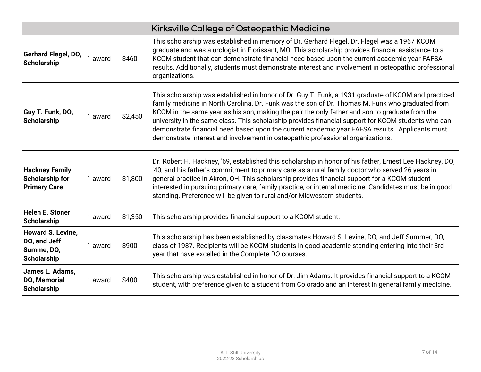|                                                                        |         |         | Kirksville College of Osteopathic Medicine                                                                                                                                                                                                                                                                                                                                                                                                                                                                                                                                                            |
|------------------------------------------------------------------------|---------|---------|-------------------------------------------------------------------------------------------------------------------------------------------------------------------------------------------------------------------------------------------------------------------------------------------------------------------------------------------------------------------------------------------------------------------------------------------------------------------------------------------------------------------------------------------------------------------------------------------------------|
| Gerhard Flegel, DO,<br><b>Scholarship</b>                              | 1 award | \$460   | This scholarship was established in memory of Dr. Gerhard Flegel. Dr. Flegel was a 1967 KCOM<br>graduate and was a urologist in Florissant, MO. This scholarship provides financial assistance to a<br>KCOM student that can demonstrate financial need based upon the current academic year FAFSA<br>results. Additionally, students must demonstrate interest and involvement in osteopathic professional<br>organizations.                                                                                                                                                                         |
| Guy T. Funk, DO,<br><b>Scholarship</b>                                 | 1 award | \$2,450 | This scholarship was established in honor of Dr. Guy T. Funk, a 1931 graduate of KCOM and practiced<br>family medicine in North Carolina. Dr. Funk was the son of Dr. Thomas M. Funk who graduated from<br>KCOM in the same year as his son, making the pair the only father and son to graduate from the<br>university in the same class. This scholarship provides financial support for KCOM students who can<br>demonstrate financial need based upon the current academic year FAFSA results. Applicants must<br>demonstrate interest and involvement in osteopathic professional organizations. |
| <b>Hackney Family</b><br><b>Scholarship for</b><br><b>Primary Care</b> | 1 award | \$1,800 | Dr. Robert H. Hackney, '69, established this scholarship in honor of his father, Ernest Lee Hackney, DO,<br>'40, and his father's commitment to primary care as a rural family doctor who served 26 years in<br>general practice in Akron, OH. This scholarship provides financial support for a KCOM student<br>interested in pursuing primary care, family practice, or internal medicine. Candidates must be in good<br>standing. Preference will be given to rural and/or Midwestern students.                                                                                                    |
| <b>Helen E. Stoner</b><br><b>Scholarship</b>                           | 1 award | \$1,350 | This scholarship provides financial support to a KCOM student.                                                                                                                                                                                                                                                                                                                                                                                                                                                                                                                                        |
| <b>Howard S. Levine,</b><br>DO, and Jeff<br>Summe, DO,<br>Scholarship  | 1 award | \$900   | This scholarship has been established by classmates Howard S. Levine, DO, and Jeff Summer, DO,<br>class of 1987. Recipients will be KCOM students in good academic standing entering into their 3rd<br>year that have excelled in the Complete DO courses.                                                                                                                                                                                                                                                                                                                                            |
| James L. Adams,<br>DO, Memorial<br><b>Scholarship</b>                  | 1 award | \$400   | This scholarship was established in honor of Dr. Jim Adams. It provides financial support to a KCOM<br>student, with preference given to a student from Colorado and an interest in general family medicine.                                                                                                                                                                                                                                                                                                                                                                                          |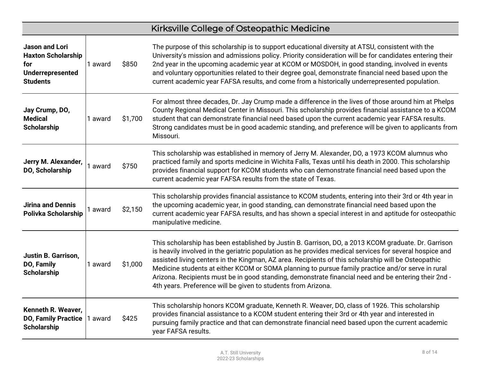|                                                                                                         |         |         | Kirksville College of Osteopathic Medicine                                                                                                                                                                                                                                                                                                                                                                                                                                                                                                                                                          |
|---------------------------------------------------------------------------------------------------------|---------|---------|-----------------------------------------------------------------------------------------------------------------------------------------------------------------------------------------------------------------------------------------------------------------------------------------------------------------------------------------------------------------------------------------------------------------------------------------------------------------------------------------------------------------------------------------------------------------------------------------------------|
| <b>Jason and Lori</b><br><b>Haxton Scholarship</b><br>for<br><b>Underrepresented</b><br><b>Students</b> | 1 award | \$850   | The purpose of this scholarship is to support educational diversity at ATSU, consistent with the<br>University's mission and admissions policy. Priority consideration will be for candidates entering their<br>2nd year in the upcoming academic year at KCOM or MOSDOH, in good standing, involved in events<br>and voluntary opportunities related to their degree goal, demonstrate financial need based upon the<br>current academic year FAFSA results, and come from a historically underrepresented population.                                                                             |
| Jay Crump, DO,<br><b>Medical</b><br>Scholarship                                                         | 1 award | \$1,700 | For almost three decades, Dr. Jay Crump made a difference in the lives of those around him at Phelps<br>County Regional Medical Center in Missouri. This scholarship provides financial assistance to a KCOM<br>student that can demonstrate financial need based upon the current academic year FAFSA results.<br>Strong candidates must be in good academic standing, and preference will be given to applicants from<br>Missouri.                                                                                                                                                                |
| Jerry M. Alexander,<br>DO, Scholarship                                                                  | 1 award | \$750   | This scholarship was established in memory of Jerry M. Alexander, DO, a 1973 KCOM alumnus who<br>practiced family and sports medicine in Wichita Falls, Texas until his death in 2000. This scholarship<br>provides financial support for KCOM students who can demonstrate financial need based upon the<br>current academic year FAFSA results from the state of Texas.                                                                                                                                                                                                                           |
| <b>Jirina and Dennis</b><br>Polivka Scholarship                                                         | 1 award | \$2,150 | This scholarship provides financial assistance to KCOM students, entering into their 3rd or 4th year in<br>the upcoming academic year, in good standing, can demonstrate financial need based upon the<br>current academic year FAFSA results, and has shown a special interest in and aptitude for osteopathic<br>manipulative medicine.                                                                                                                                                                                                                                                           |
| <b>Justin B. Garrison,</b><br>DO, Family<br><b>Scholarship</b>                                          | 1 award | \$1,000 | This scholarship has been established by Justin B. Garrison, DO, a 2013 KCOM graduate. Dr. Garrison<br>is heavily involved in the geriatric population as he provides medical services for several hospice and<br>assisted living centers in the Kingman, AZ area. Recipients of this scholarship will be Osteopathic<br>Medicine students at either KCOM or SOMA planning to pursue family practice and/or serve in rural<br>Arizona. Recipients must be in good standing, demonstrate financial need and be entering their 2nd -<br>4th years. Preference will be given to students from Arizona. |
| Kenneth R. Weaver,<br><b>DO, Family Practice</b><br><b>Scholarship</b>                                  | 1 award | \$425   | This scholarship honors KCOM graduate, Kenneth R. Weaver, DO, class of 1926. This scholarship<br>provides financial assistance to a KCOM student entering their 3rd or 4th year and interested in<br>pursuing family practice and that can demonstrate financial need based upon the current academic<br>year FAFSA results.                                                                                                                                                                                                                                                                        |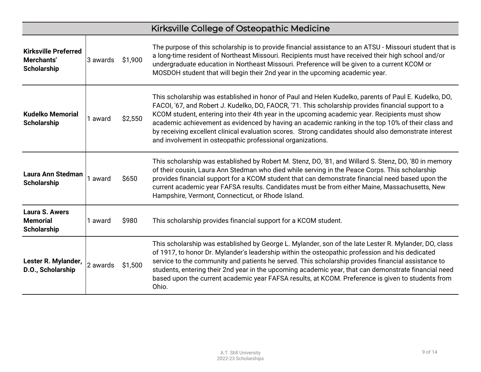|                                                                 |          |         | Kirksville College of Osteopathic Medicine                                                                                                                                                                                                                                                                                                                                                                                                                                                                                                                                                |
|-----------------------------------------------------------------|----------|---------|-------------------------------------------------------------------------------------------------------------------------------------------------------------------------------------------------------------------------------------------------------------------------------------------------------------------------------------------------------------------------------------------------------------------------------------------------------------------------------------------------------------------------------------------------------------------------------------------|
| <b>Kirksville Preferred</b><br>Merchants'<br><b>Scholarship</b> | 3 awards | \$1,900 | The purpose of this scholarship is to provide financial assistance to an ATSU - Missouri student that is<br>a long-time resident of Northeast Missouri. Recipients must have received their high school and/or<br>undergraduate education in Northeast Missouri. Preference will be given to a current KCOM or<br>MOSDOH student that will begin their 2nd year in the upcoming academic year.                                                                                                                                                                                            |
| <b>Kudelko Memorial</b><br><b>Scholarship</b>                   | 1 award  | \$2,550 | This scholarship was established in honor of Paul and Helen Kudelko, parents of Paul E. Kudelko, DO,<br>FACOI, '67, and Robert J. Kudelko, DO, FAOCR, '71. This scholarship provides financial support to a<br>KCOM student, entering into their 4th year in the upcoming academic year. Recipients must show<br>academic achievement as evidenced by having an academic ranking in the top 10% of their class and<br>by receiving excellent clinical evaluation scores. Strong candidates should also demonstrate interest<br>and involvement in osteopathic professional organizations. |
| <b>Laura Ann Stedman</b><br><b>Scholarship</b>                  | 1 award  | \$650   | This scholarship was established by Robert M. Stenz, DO, '81, and Willard S. Stenz, DO, '80 in memory<br>of their cousin, Laura Ann Stedman who died while serving in the Peace Corps. This scholarship<br>provides financial support for a KCOM student that can demonstrate financial need based upon the<br>current academic year FAFSA results. Candidates must be from either Maine, Massachusetts, New<br>Hampshire, Vermont, Connecticut, or Rhode Island.                                                                                                                         |
| <b>Laura S. Awers</b><br><b>Memorial</b><br><b>Scholarship</b>  | 1 award  | \$980   | This scholarship provides financial support for a KCOM student.                                                                                                                                                                                                                                                                                                                                                                                                                                                                                                                           |
| Lester R. Mylander,<br>D.O., Scholarship                        | 2 awards | \$1,500 | This scholarship was established by George L. Mylander, son of the late Lester R. Mylander, DO, class<br>of 1917, to honor Dr. Mylander's leadership within the osteopathic profession and his dedicated<br>service to the community and patients he served. This scholarship provides financial assistance to<br>students, entering their 2nd year in the upcoming academic year, that can demonstrate financial need<br>based upon the current academic year FAFSA results, at KCOM. Preference is given to students from<br>Ohio.                                                      |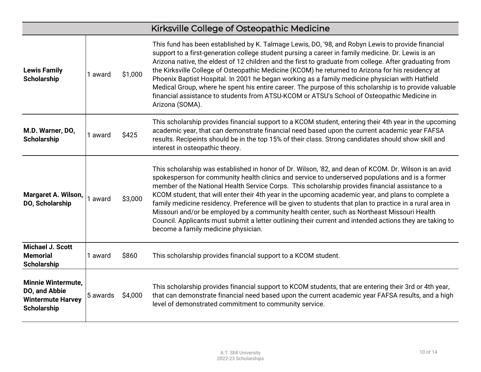|                                                                                              |          |         | Kirksville College of Osteopathic Medicine                                                                                                                                                                                                                                                                                                                                                                                                                                                                                                                                                                                                                                                                                                                                         |
|----------------------------------------------------------------------------------------------|----------|---------|------------------------------------------------------------------------------------------------------------------------------------------------------------------------------------------------------------------------------------------------------------------------------------------------------------------------------------------------------------------------------------------------------------------------------------------------------------------------------------------------------------------------------------------------------------------------------------------------------------------------------------------------------------------------------------------------------------------------------------------------------------------------------------|
| <b>Lewis Family</b><br><b>Scholarship</b>                                                    | 1 award  | \$1,000 | This fund has been established by K. Talmage Lewis, DO, '98, and Robyn Lewis to provide financial<br>support to a first-generation college student pursing a career in family medicine. Dr. Lewis is an<br>Arizona native, the eldest of 12 children and the first to graduate from college. After graduating from<br>the Kirksville College of Osteopathic Medicine (KCOM) he returned to Arizona for his residency at<br>Phoenix Baptist Hospital. In 2001 he began working as a family medicine physician with Hatfield<br>Medical Group, where he spent his entire career. The purpose of this scholarship is to provide valuable<br>financial assistance to students from ATSU-KCOM or ATSU's School of Osteopathic Medicine in<br>Arizona (SOMA).                            |
| M.D. Warner, DO,<br><b>Scholarship</b>                                                       | 1 award  | \$425   | This scholarship provides financial support to a KCOM student, entering their 4th year in the upcoming<br>academic year, that can demonstrate financial need based upon the current academic year FAFSA<br>results. Recipeints should be in the top 15% of their class. Strong candidates should show skill and<br>interest in osteopathic theory.                                                                                                                                                                                                                                                                                                                                                                                                                                 |
| <b>Margaret A. Wilson,</b><br>DO, Scholarship                                                | 1 award  | \$3,000 | This scholarship was established in honor of Dr. Wilson, '82, and dean of KCOM. Dr. Wilson is an avid<br>spokesperson for community health clinics and service to underserved populations and is a former<br>member of the National Health Service Corps. This scholarship provides financial assistance to a<br>KCOM student, that will enter their 4th year in the upcoming academic year, and plans to complete a<br>family medicine residency. Preference will be given to students that plan to practice in a rural area in<br>Missouri and/or be employed by a community health center, such as Northeast Missouri Health<br>Council. Applicants must submit a letter outlining their current and intended actions they are taking to<br>become a family medicine physician. |
| <b>Michael J. Scott</b><br><b>Memorial</b><br>Scholarship                                    | 1 award  | \$860   | This scholarship provides financial support to a KCOM student.                                                                                                                                                                                                                                                                                                                                                                                                                                                                                                                                                                                                                                                                                                                     |
| <b>Minnie Wintermute,</b><br>DO, and Abbie<br><b>Wintermute Harvey</b><br><b>Scholarship</b> | 5 awards | \$4,000 | This scholarship provides financial support to KCOM students, that are entering their 3rd or 4th year,<br>that can demonstrate financial need based upon the current academic year FAFSA results, and a high<br>level of demonstrated commitment to community service.                                                                                                                                                                                                                                                                                                                                                                                                                                                                                                             |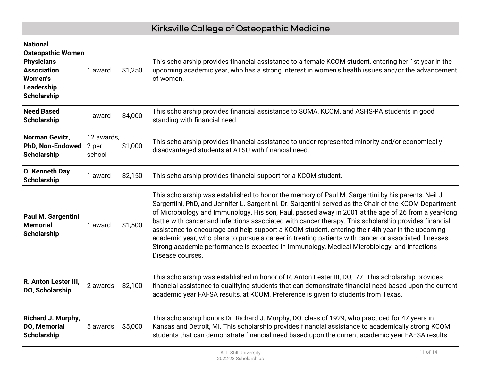|                                                                                                                                              |                               |         | Kirksville College of Osteopathic Medicine                                                                                                                                                                                                                                                                                                                                                                                                                                                                                                                                                                                                                                                                                                                    |
|----------------------------------------------------------------------------------------------------------------------------------------------|-------------------------------|---------|---------------------------------------------------------------------------------------------------------------------------------------------------------------------------------------------------------------------------------------------------------------------------------------------------------------------------------------------------------------------------------------------------------------------------------------------------------------------------------------------------------------------------------------------------------------------------------------------------------------------------------------------------------------------------------------------------------------------------------------------------------------|
| <b>National</b><br><b>Osteopathic Women</b><br><b>Physicians</b><br><b>Association</b><br><b>Women's</b><br>Leadership<br><b>Scholarship</b> | 1 award                       | \$1,250 | This scholarship provides financial assistance to a female KCOM student, entering her 1st year in the<br>upcoming academic year, who has a strong interest in women's health issues and/or the advancement<br>of women.                                                                                                                                                                                                                                                                                                                                                                                                                                                                                                                                       |
| <b>Need Based</b><br><b>Scholarship</b>                                                                                                      | 1 award                       | \$4,000 | This scholarship provides financial assistance to SOMA, KCOM, and ASHS-PA students in good<br>standing with financial need.                                                                                                                                                                                                                                                                                                                                                                                                                                                                                                                                                                                                                                   |
| Norman Gevitz,<br>PhD, Non-Endowed<br><b>Scholarship</b>                                                                                     | 12 awards,<br>2 per<br>school | \$1,000 | This scholarship provides financial assistance to under-represented minority and/or economically<br>disadvantaged students at ATSU with financial need.                                                                                                                                                                                                                                                                                                                                                                                                                                                                                                                                                                                                       |
| O. Kenneth Day<br><b>Scholarship</b>                                                                                                         | 1 award                       | \$2,150 | This scholarship provides financial support for a KCOM student.                                                                                                                                                                                                                                                                                                                                                                                                                                                                                                                                                                                                                                                                                               |
| <b>Paul M. Sargentini</b><br><b>Memorial</b><br><b>Scholarship</b>                                                                           | 1 award                       | \$1,500 | This scholarship was established to honor the memory of Paul M. Sargentini by his parents, Neil J.<br>Sargentini, PhD, and Jennifer L. Sargentini. Dr. Sargentini served as the Chair of the KCOM Department<br>of Microbiology and Immunology. His son, Paul, passed away in 2001 at the age of 26 from a year-long<br>battle with cancer and infections associated with cancer therapy. This scholarship provides financial<br>assistance to encourage and help support a KCOM student, entering their 4th year in the upcoming<br>academic year, who plans to pursue a career in treating patients with cancer or associated illnesses.<br>Strong academic performance is expected in Immunology, Medical Microbiology, and Infections<br>Disease courses. |
| R. Anton Lester III,<br>DO, Scholarship                                                                                                      | 2 awards                      | \$2,100 | This scholarship was established in honor of R. Anton Lester III, DO, '77. This scholarship provides<br>financial assistance to qualifying students that can demonstrate financial need based upon the current<br>academic year FAFSA results, at KCOM. Preference is given to students from Texas.                                                                                                                                                                                                                                                                                                                                                                                                                                                           |
| Richard J. Murphy,<br>DO, Memorial<br><b>Scholarship</b>                                                                                     | 5 awards                      | \$5,000 | This scholarship honors Dr. Richard J. Murphy, DO, class of 1929, who practiced for 47 years in<br>Kansas and Detroit, MI. This scholarship provides financial assistance to academically strong KCOM<br>students that can demonstrate financial need based upon the current academic year FAFSA results.                                                                                                                                                                                                                                                                                                                                                                                                                                                     |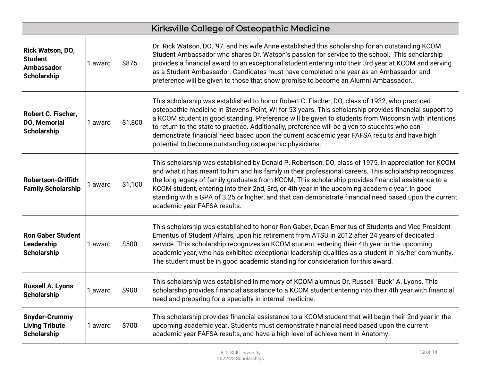|                                                                               |         |         | Kirksville College of Osteopathic Medicine                                                                                                                                                                                                                                                                                                                                                                                                                                                                                                                                  |
|-------------------------------------------------------------------------------|---------|---------|-----------------------------------------------------------------------------------------------------------------------------------------------------------------------------------------------------------------------------------------------------------------------------------------------------------------------------------------------------------------------------------------------------------------------------------------------------------------------------------------------------------------------------------------------------------------------------|
| Rick Watson, DO,<br><b>Student</b><br><b>Ambassador</b><br><b>Scholarship</b> | 1 award | \$875   | Dr. Rick Watson, DO, '97, and his wife Anne established this scholarship for an outstanding KCOM<br>Student Ambassador who shares Dr. Watson's passion for service to the school. This scholarship<br>provides a financial award to an exceptional student entering into their 3rd year at KCOM and serving<br>as a Student Ambassador. Candidates must have completed one year as an Ambassador and<br>preference will be given to those that show promise to become an Alumni Ambassador.                                                                                 |
| Robert C. Fischer,<br><b>DO, Memorial</b><br><b>Scholarship</b>               | 1 award | \$1,800 | This scholarship was established to honor Robert C. Fischer, DO, class of 1932, who practiced<br>osteopathic medicine in Stevens Point, WI for 53 years. This scholarship provides financial support to<br>a KCOM student in good standing. Preference will be given to students from Wisconsin with intentions<br>to return to the state to practice. Additionally, preference will be given to students who can<br>demonstrate financial need based upon the current academic year FAFSA results and have high<br>potential to become outstanding osteopathic physicians. |
| <b>Robertson-Griffith</b><br><b>Family Scholarship</b>                        | 1 award | \$1,100 | This scholarship was established by Donald P. Robertson, DO, class of 1975, in appreciation for KCOM<br>and what it has meant to him and his family in their professional careers. This scholarship recognizes<br>the long legacy of family graduates from KCOM. This scholarship provides financial assistance to a<br>KCOM student, entering into their 2nd, 3rd, or 4th year in the upcoming academic year, in good<br>standing with a GPA of 3.25 or higher, and that can demonstrate financial need based upon the current<br>academic year FAFSA results.             |
| <b>Ron Gaber Student</b><br>Leadership<br><b>Scholarship</b>                  | 1 award | \$500   | This scholarship was established to honor Ron Gaber, Dean Emeritus of Students and Vice President<br>Emeritus of Student Affairs, upon his retirement from ATSU in 2012 after 24 years of dedicated<br>service. This scholarship recognizes an KCOM student, entering their 4th year in the upcoming<br>academic year, who has exhibited exceptional leadership qualities as a student in his/her community.<br>The student must be in good academic standing for consideration for this award.                                                                             |
| <b>Russell A. Lyons</b><br><b>Scholarship</b>                                 | 1 award | \$900   | This scholarship was established in memory of KCOM alumnus Dr. Russell "Buck" A. Lyons. This<br>scholarship provides financial assistance to a KCOM student entering into their 4th year with financial<br>need and preparing for a specialty in internal medicine.                                                                                                                                                                                                                                                                                                         |
| <b>Snyder-Crummy</b><br><b>Living Tribute</b><br><b>Scholarship</b>           | 1 award | \$700   | This scholarship provides financial assistance to a KCOM student that will begin their 2nd year in the<br>upcoming academic year. Students must demonstrate financial need based upon the current<br>academic year FAFSA results, and have a high level of achievement in Anatomy.                                                                                                                                                                                                                                                                                          |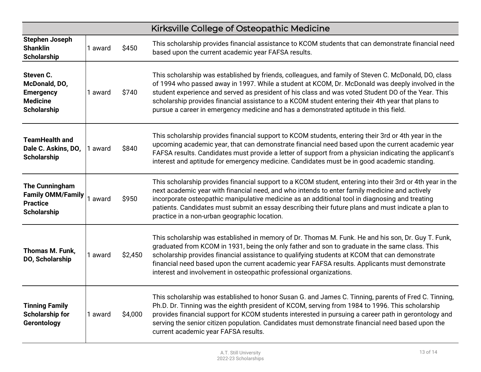|                                                                                         |         |         | Kirksville College of Osteopathic Medicine                                                                                                                                                                                                                                                                                                                                                                                                                                                                   |
|-----------------------------------------------------------------------------------------|---------|---------|--------------------------------------------------------------------------------------------------------------------------------------------------------------------------------------------------------------------------------------------------------------------------------------------------------------------------------------------------------------------------------------------------------------------------------------------------------------------------------------------------------------|
| <b>Stephen Joseph</b><br><b>Shanklin</b><br><b>Scholarship</b>                          | 1 award | \$450   | This scholarship provides financial assistance to KCOM students that can demonstrate financial need<br>based upon the current academic year FAFSA results.                                                                                                                                                                                                                                                                                                                                                   |
| Steven C.<br>McDonald, DO,<br><b>Emergency</b><br><b>Medicine</b><br><b>Scholarship</b> | 1 award | \$740   | This scholarship was established by friends, colleagues, and family of Steven C. McDonald, DO, class<br>of 1994 who passed away in 1997. While a student at KCOM, Dr. McDonald was deeply involved in the<br>student experience and served as president of his class and was voted Student DO of the Year. This<br>scholarship provides financial assistance to a KCOM student entering their 4th year that plans to<br>pursue a career in emergency medicine and has a demonstrated aptitude in this field. |
| <b>TeamHealth and</b><br>Dale C. Askins, DO,<br><b>Scholarship</b>                      | 1 award | \$840   | This scholarship provides financial support to KCOM students, entering their 3rd or 4th year in the<br>upcoming academic year, that can demonstrate financial need based upon the current academic year<br>FAFSA results. Candidates must provide a letter of support from a physician indicating the applicant's<br>interest and aptitude for emergency medicine. Candidates must be in good academic standing.                                                                                             |
| The Cunningham<br><b>Family OMM/Family</b><br><b>Practice</b><br><b>Scholarship</b>     | 1 award | \$950   | This scholarship provides financial support to a KCOM student, entering into their 3rd or 4th year in the<br>next academic year with financial need, and who intends to enter family medicine and actively<br>incorporate osteopathic manipulative medicine as an additional tool in diagnosing and treating<br>patients. Candidates must submit an essay describing their future plans and must indicate a plan to<br>practice in a non-urban geographic location.                                          |
| Thomas M. Funk,<br>DO, Scholarship                                                      | 1 award | \$2,450 | This scholarship was established in memory of Dr. Thomas M. Funk. He and his son, Dr. Guy T. Funk,<br>graduated from KCOM in 1931, being the only father and son to graduate in the same class. This<br>scholarship provides financial assistance to qualifying students at KCOM that can demonstrate<br>financial need based upon the current academic year FAFSA results. Applicants must demonstrate<br>interest and involvement in osteopathic professional organizations.                               |
| <b>Tinning Family</b><br><b>Scholarship for</b><br>Gerontology                          | 1 award | \$4,000 | This scholarship was established to honor Susan G. and James C. Tinning, parents of Fred C. Tinning,<br>Ph.D. Dr. Tinning was the eighth president of KCOM, serving from 1984 to 1996. This scholarship<br>provides financial support for KCOM students interested in pursuing a career path in gerontology and<br>serving the senior citizen population. Candidates must demonstrate financial need based upon the<br>current academic year FAFSA results.                                                  |